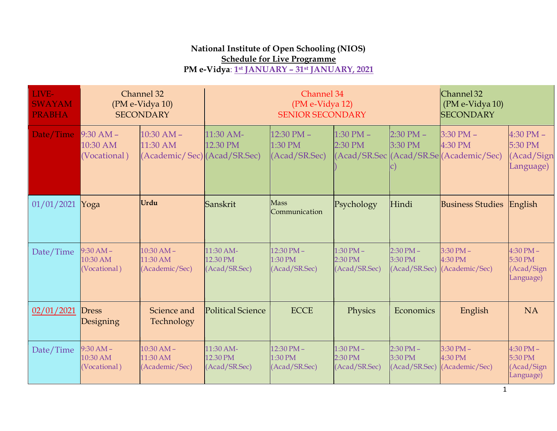## **National Institute of Open Schooling (NIOS) Schedule for Live Programme**

## **PM e-Vidya**: **1st JANUARY – 31st JANUARY, 2021**

| LIVE-<br><b>SWAYAM</b><br><b>PRABHA</b> |                                         | Channel 32<br>(PM e-Vidya 10)<br><b>SECONDARY</b>          |                                        | Channel 34<br>(PM e-Vidya 12)<br><b>SENIOR SECONDARY</b> |                                           |                                           |                                                                     | Channel 32<br>(PM e-Vidya 10)<br><b>SECONDARY</b>   |  |
|-----------------------------------------|-----------------------------------------|------------------------------------------------------------|----------------------------------------|----------------------------------------------------------|-------------------------------------------|-------------------------------------------|---------------------------------------------------------------------|-----------------------------------------------------|--|
| Date/Time                               | $9:30 AM -$<br>10:30 AM<br>(Vocational) | $10:30$ AM $-$<br>11:30 AM<br>(Academic/Sec) (Acad/SR.Sec) | 11:30 AM-<br>12.30 PM                  | $12:30$ PM $-$<br>1:30 PM<br>(Acad/SR.Sec)               | $1:30$ PM $-$<br>2:30 PM                  | $2:30$ PM $-$<br>3:30 PM                  | $3:30$ PM $-$<br>4:30 PM<br>(Acad/SR.Sec (Acad/SR.Se (Academic/Sec) | $4:30$ PM $-$<br>5:30 PM<br>(Acad/Sign<br>Language) |  |
| 01/01/2021                              | Yoga                                    | Urdu                                                       | Sanskrit                               | <b>Mass</b><br>Communication                             | Psychology                                | Hindi                                     | <b>Business Studies English</b>                                     |                                                     |  |
| Date/Time                               | $9:30 AM -$<br>10:30 AM<br>(Vocational) | $10:30 AM -$<br>11:30 AM<br>(Academic/Sec)                 | 11:30 AM-<br>12.30 PM<br>(Acad/SR.Sec) | 12:30 PM-<br>1:30 PM<br>(Acad/SR.Sec)                    | $1:30$ PM $-$<br>2:30 PM<br>(Acad/SR.Sec) | $2:30$ PM $-$<br>3:30 PM<br>(Acad/SR.Sec) | $3:30$ PM $-$<br>4:30 PM<br>(Academic/Sec)                          | $4:30$ PM $-$<br>5:30 PM<br>(Acad/Sign<br>Language) |  |
| 02/01/2021                              | <b>Dress</b><br>Designing               | Science and<br>Technology                                  | Political Science                      | <b>ECCE</b>                                              | Physics                                   | Economics                                 | English                                                             | <b>NA</b>                                           |  |
| Date/Time                               | $9:30 AM -$<br>10:30 AM<br>(Vocational) | $10:30$ AM $-$<br>11:30 AM<br>(Academic/Sec)               | 11:30 AM-<br>12.30 PM<br>(Acad/SR.Sec) | 12:30 PM-<br>1:30 PM<br>(Acad/SR.Sec)                    | $1:30$ PM $-$<br>2:30 PM<br>(Acad/SR.Sec) | $2:30$ PM $-$<br>3:30 PM<br>(Acad/SR.Sec) | $3:30$ PM $-$<br>4:30 PM<br>(Academic/Sec)                          | $4:30$ PM $-$<br>5:30 PM<br>(Acad/Sign<br>Language) |  |

1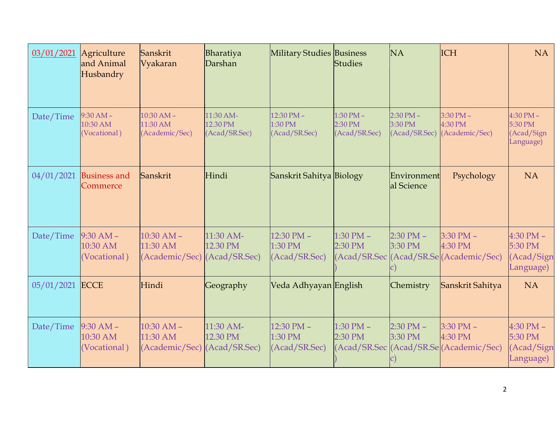| 03/01/2021 | Agriculture<br>and Animal<br>Husbandry    | Sanskrit<br>Vyakaran                         | Bharatiya<br>Darshan                   | <b>Military Studies Business</b>           | <b>Studies</b>                            | <b>NA</b>                                 | <b>ICH</b>                                                          | <b>NA</b>                                           |
|------------|-------------------------------------------|----------------------------------------------|----------------------------------------|--------------------------------------------|-------------------------------------------|-------------------------------------------|---------------------------------------------------------------------|-----------------------------------------------------|
| Date/Time  | $9:30 AM -$<br>10:30 AM<br>(Vocational)   | $10:30 AM -$<br>11:30 AM<br>(Academic/Sec)   | 11:30 AM-<br>12.30 PM<br>(Acad/SR.Sec) | $12:30$ PM $-$<br>1:30 PM<br>(Acad/SR.Sec) | $1:30$ PM $-$<br>2:30 PM<br>(Acad/SR.Sec) | $2:30$ PM $-$<br>3:30 PM<br>(Acad/SR.Sec) | $3:30$ PM $-$<br>4:30 PM<br>(Academic/Sec)                          | $4:30$ PM $-$<br>5:30 PM<br>(Acad/Sign<br>Language) |
| 04/01/2021 | <b>Business and</b><br>Commerce           | Sanskrit                                     | Hindi                                  | Sanskrit Sahitya Biology                   |                                           | Environment<br>al Science                 | Psychology                                                          | <b>NA</b>                                           |
| Date/Time  | $9:30$ AM $-$<br>10:30 AM<br>(Vocational) | $10:30$ AM $-$<br>11:30 AM<br>(Academic/Sec) | 11:30 AM-<br>12.30 PM<br>(Acad/SR.Sec) | 12:30 PM -<br>1:30 PM<br>(Acad/SR.Sec)     | $1:30$ PM $-$<br>2:30 PM                  | $2:30$ PM $-$<br>3:30 PM                  | $3:30$ PM $-$<br>4:30 PM<br>(Acad/SR.Sec (Acad/SR.Se (Academic/Sec) | $4:30$ PM $-$<br>5:30 PM<br>(Acad/Sign<br>Language) |
| 05/01/2021 | ECCE                                      | Hindi                                        | Geography                              | Veda Adhyayan English                      |                                           | Chemistry                                 | Sanskrit Sahitya                                                    | <b>NA</b>                                           |
| Date/Time  | $9:30 AM -$<br>10:30 AM<br>(Vocational)   | $10:30$ AM $-$<br>11:30 AM<br>(Academic/Sec) | 11:30 AM-<br>12.30 PM<br>(Acad/SR.Sec) | 12:30 PM -<br>1:30 PM<br>(Acad/SR.Sec)     | $1:30$ PM $-$<br>2:30 PM                  | $2:30$ PM $-$<br>3:30 PM                  | $3:30$ PM $-$<br>4:30 PM<br>(Acad/SR.Sec (Acad/SR.Se (Academic/Sec) | $4:30$ PM $-$<br>5:30 PM<br>(Acad/Sign<br>Language) |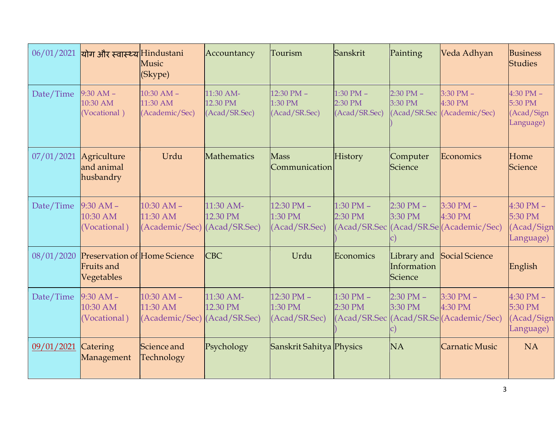| 06/01/2021 | योग और स्वास्थ्य Hindustani                                     | Music<br>(Skype)                             | Accountancy                            | Tourism                                    | Sanskrit                                  | Painting                              | Veda Adhyan                                                         | <b>Business</b><br><b>Studies</b>                   |
|------------|-----------------------------------------------------------------|----------------------------------------------|----------------------------------------|--------------------------------------------|-------------------------------------------|---------------------------------------|---------------------------------------------------------------------|-----------------------------------------------------|
| Date/Time  | $9:30$ AM $-$<br>10:30 AM<br>(Vocational)                       | $10:30$ AM $-$<br>11:30 AM<br>(Academic/Sec) | 11:30 AM-<br>12.30 PM<br>(Acad/SR.Sec) | $12:30$ PM $-$<br>1:30 PM<br>(Acad/SR.Sec) | $1:30$ PM $-$<br>2:30 PM<br>(Acad/SR.Sec) | $2:30$ PM $-$<br>3:30 PM              | $3:30$ PM $-$<br>4:30 PM<br>(Acad/SR.Sec (Academic/Sec)             | $4:30$ PM $-$<br>5:30 PM<br>(Acad/Sign<br>Language) |
| 07/01/2021 | Agriculture<br>and animal<br>husbandry                          | Urdu                                         | Mathematics                            | <b>Mass</b><br>Communication               | History                                   | Computer<br>Science                   | Economics                                                           | Home<br>Science                                     |
| Date/Time  | $9:30$ AM $-$<br>10:30 AM<br>(Vocational)                       | $10:30$ AM $-$<br>11:30 AM<br>(Academic/Sec) | 11:30 AM-<br>12.30 PM<br>(Acad/SR.Sec) | $12:30$ PM $-$<br>1:30 PM<br>(Acad/SR.Sec) | $1:30$ PM $-$<br>2:30 PM                  | $2:30$ PM $-$<br>3:30 PM              | $3:30$ PM $-$<br>4:30 PM<br>(Acad/SR.Sec (Acad/SR.Se (Academic/Sec) | $4:30$ PM $-$<br>5:30 PM<br>(Acad/Sign<br>Language) |
| 08/01/2020 | <b>Preservation of Home Science</b><br>Fruits and<br>Vegetables |                                              | <b>CBC</b>                             | Urdu                                       | Economics                                 | Library and<br>Information<br>Science | Social Science                                                      | English                                             |
| Date/Time  | $9:30 AM -$<br>10:30 AM<br>(Vocational)                         | $10:30 AM -$<br>11:30 AM<br>(Academic/Sec)   | 11:30 AM-<br>12.30 PM<br>(Acad/SR.Sec) | $12:30$ PM $-$<br>1:30 PM<br>(Acad/SR.Sec) | $1:30$ PM $-$<br>2:30 PM                  | $2:30$ PM $-$<br>3:30 PM              | $3:30$ PM $-$<br>4:30 PM<br>(Acad/SR.Sec (Acad/SR.Se (Academic/Sec) | $4:30$ PM $-$<br>5:30 PM<br>(Acad/Sign<br>Language) |
| 09/01/2021 | Catering<br>Management                                          | Science and<br>Technology                    | Psychology                             | Sanskrit Sahitya Physics                   |                                           | <b>NA</b>                             | <b>Carnatic Music</b>                                               | <b>NA</b>                                           |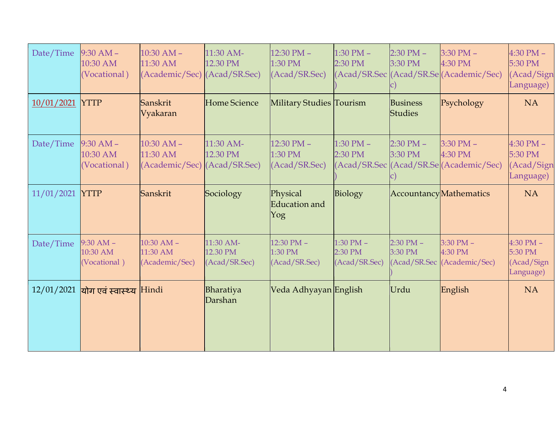| Date/Time  | $9:30 AM -$<br>10:30 AM<br>(Vocational)   | $10:30$ AM $-$<br>11:30 AM<br>(Academic/Sec) (Acad/SR.Sec) | 11:30 AM-<br>12.30 PM                  | 12:30 PM -<br>1:30 PM<br>(Acad/SR.Sec)     | $1:30$ PM $-$<br>2:30 PM                  | $2:30$ PM $-$<br>3:30 PM | $3:30$ PM $-$<br>4:30 PM<br>(Acad/SR.Sec (Acad/SR.Se (Academic/Sec) | $4:30$ PM $-$<br>5:30 PM<br>(Acad/Sign<br>Language) |
|------------|-------------------------------------------|------------------------------------------------------------|----------------------------------------|--------------------------------------------|-------------------------------------------|--------------------------|---------------------------------------------------------------------|-----------------------------------------------------|
| 10/01/2021 | <b>YTTP</b>                               | Sanskrit<br>Vyakaran                                       | <b>Home Science</b>                    | <b>Military Studies Tourism</b>            |                                           | Business<br>Studies      | Psychology                                                          | <b>NA</b>                                           |
| Date/Time  | $9:30 AM -$<br>10:30 AM<br>(Vocational)   | $10:30$ AM $-$<br>11:30 AM<br>(Academic/Sec)               | 11:30 AM-<br>12.30 PM<br>(Acad/SR.Sec) | $12:30$ PM $-$<br>1:30 PM<br>(Acad/SR.Sec) | $1:30$ PM $-$<br>2:30 PM                  | $2:30$ PM $-$<br>3:30 PM | $3:30$ PM $-$<br>4:30 PM<br>(Acad/SR.Sec (Acad/SR.Se (Academic/Sec) | $4:30$ PM $-$<br>5:30 PM<br>(Acad/Sign<br>Language) |
| 11/01/2021 | <b>YTTP</b>                               | Sanskrit                                                   | Sociology                              | Physical<br>Education and<br>Yog           | Biology                                   |                          | AccountancyMathematics                                              | <b>NA</b>                                           |
| Date/Time  | $9:30$ AM $-$<br>10:30 AM<br>(Vocational) | $10:30$ AM $-$<br>11:30 AM<br>(Academic/Sec)               | 11:30 AM-<br>12.30 PM<br>(Acad/SR.Sec) | $12:30$ PM $-$<br>1:30 PM<br>(Acad/SR.Sec) | $1:30$ PM $-$<br>2:30 PM<br>(Acad/SR.Sec) | $2:30$ PM $-$<br>3:30 PM | $3:30$ PM $-$<br>4:30 PM<br>(Acad/SR.Sec (Academic/Sec)             | 4:30 PM -<br>5:30 PM<br>(Acad/Sign<br>Language)     |
| 12/01/2021 | योग एवं स्वास्थ्य Hindi                   |                                                            | Bharatiya<br>Darshan                   | Veda Adhyayan English                      |                                           | Urdu                     | English                                                             | <b>NA</b>                                           |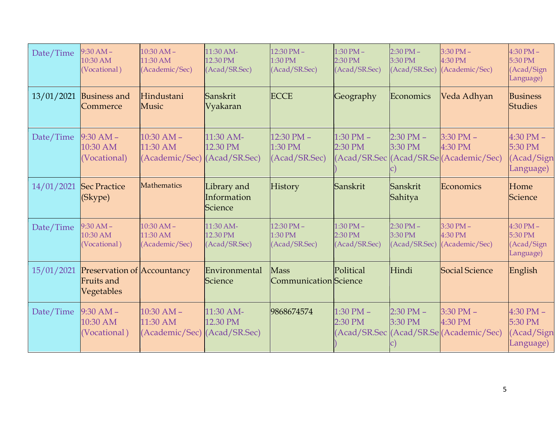| Date/Time  | $9:30 AM -$<br>10:30 AM<br>(Vocational)                        | $10:30 AM -$<br>11:30 AM<br>(Academic/Sec)   | 11:30 AM-<br>12.30 PM<br>(Acad/SR.Sec) | 12:30 PM -<br>1:30 PM<br>(Acad/SR.Sec)           | $1:30$ PM $-$<br>2:30 PM<br>(Acad/SR.Sec) | $2:30$ PM $-$<br>3:30 PM<br>(Acad/SR.Sec) | $3:30$ PM $-$<br>4:30 PM<br>(Academic/Sec)                          | $4:30$ PM $-$<br>5:30 PM<br>(Acad/Sign<br>Language) |
|------------|----------------------------------------------------------------|----------------------------------------------|----------------------------------------|--------------------------------------------------|-------------------------------------------|-------------------------------------------|---------------------------------------------------------------------|-----------------------------------------------------|
| 13/01/2021 | <b>Business and</b><br>Commerce                                | Hindustani<br>Music                          | Sanskrit<br>Vyakaran                   | <b>ECCE</b>                                      | Geography                                 | Economics                                 | Veda Adhyan                                                         | <b>Business</b><br><b>Studies</b>                   |
| Date/Time  | $9:30 AM -$<br>10:30 AM<br>(Vocational)                        | $10:30$ AM $-$<br>11:30 AM<br>(Academic/Sec) | 11:30 AM-<br>12.30 PM<br>(Acad/SR.Sec) | 12:30 PM -<br>1:30 PM<br>(Acad/SR.Sec)           | $1:30$ PM $-$<br>2:30 PM                  | $2:30$ PM $-$<br>3:30 PM                  | $3:30$ PM $-$<br>4:30 PM<br>(Acad/SR.Sec (Acad/SR.Se (Academic/Sec) | $4:30$ PM $-$<br>5:30 PM<br>(Acad/Sign<br>Language) |
| 14/01/2021 | <b>Sec Practice</b><br>(Skype)                                 | Mathematics                                  | Library and<br>Information<br>Science  | History                                          | Sanskrit                                  | Sanskrit<br>Sahitya                       | Economics                                                           | Home<br>Science                                     |
| Date/Time  | $9:30 AM -$<br>10:30 AM<br>(Vocational)                        | $10:30$ AM -<br>11:30 AM<br>(Academic/Sec)   | 11:30 AM-<br>12.30 PM<br>(Acad/SR.Sec) | $12:30 \text{ PM} -$<br>1:30 PM<br>(Acad/SR.Sec) | $1:30$ PM $-$<br>2:30 PM<br>(Acad/SR.Sec) | $2:30$ PM $-$<br>3:30 PM<br>(Acad/SR.Sec) | $3:30$ PM $-$<br>4:30 PM<br>(Academic/Sec)                          | $4:30$ PM $-$<br>5:30 PM<br>(Acad/Sign<br>Language) |
| 15/01/2021 | <b>Preservation of Accountancy</b><br>Fruits and<br>Vegetables |                                              | Environmental<br>Science               | <b>Mass</b><br>Communication Science             | Political                                 | Hindi                                     | Social Science                                                      | English                                             |
| Date/Time  | $9:30 AM -$<br>10:30 AM<br>(Vocational)                        | $10:30$ AM $-$<br>11:30 AM<br>(Academic/Sec) | 11:30 AM-<br>12.30 PM<br>(Acad/SR.Sec) | 9868674574                                       | $1:30$ PM $-$<br>2:30 PM                  | $2:30$ PM $-$<br>3:30 PM                  | $3:30$ PM $-$<br>4:30 PM<br>(Acad/SR.Sec (Acad/SR.Se (Academic/Sec) | $4:30$ PM $-$<br>5:30 PM<br>(Acad/Sign<br>Language) |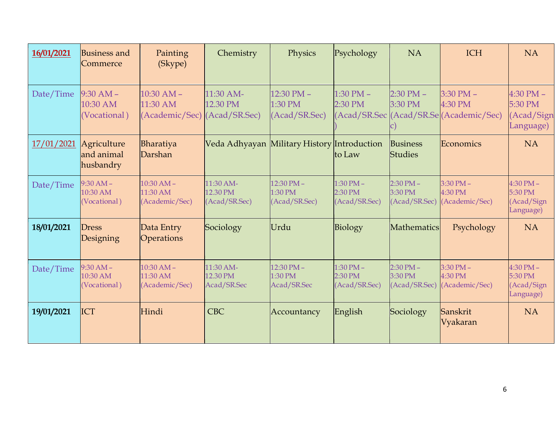| 16/01/2021 | <b>Business and</b><br>Commerce         | Painting<br>(Skype)                          | Chemistry                              | Physics                                    | Psychology                                | <b>NA</b>                                 | <b>ICH</b>                                                          | <b>NA</b>                                           |
|------------|-----------------------------------------|----------------------------------------------|----------------------------------------|--------------------------------------------|-------------------------------------------|-------------------------------------------|---------------------------------------------------------------------|-----------------------------------------------------|
| Date/Time  | $9:30 AM -$<br>10:30 AM<br>(Vocational) | $10:30$ AM $-$<br>11:30 AM<br>(Academic/Sec) | 11:30 AM-<br>12.30 PM<br>(Acad/SR.Sec) | 12:30 PM -<br>1:30 PM<br>(Acad/SR.Sec)     | $1:30$ PM $-$<br>2:30 PM                  | $2:30$ PM $-$<br>3:30 PM                  | $3:30$ PM $-$<br>4:30 PM<br>(Acad/SR.Sec (Acad/SR.Se (Academic/Sec) | $4:30$ PM $-$<br>5:30 PM<br>(Acad/Sign<br>Language) |
| 17/01/2021 | Agriculture<br>and animal<br>husbandry  | Bharatiya<br>Darshan                         | Veda Adhyayan                          | Military History Introduction              | to Law                                    | <b>Business</b><br><b>Studies</b>         | Economics                                                           | <b>NA</b>                                           |
| Date/Time  | $9:30 AM -$<br>10:30 AM<br>(Vocational) | $10:30 AM -$<br>11:30 AM<br>(Academic/Sec)   | 11:30 AM-<br>12.30 PM<br>(Acad/SR.Sec) | $12:30$ PM $-$<br>1:30 PM<br>(Acad/SR.Sec) | $1:30$ PM $-$<br>2:30 PM<br>(Acad/SR.Sec) | $2:30$ PM $-$<br>3:30 PM<br>(Acad/SR.Sec) | $3:30$ PM $-$<br>4:30 PM<br>(Academic/Sec)                          | $4:30$ PM $-$<br>5:30 PM<br>(Acad/Sign<br>Language) |
| 18/01/2021 | <b>Dress</b><br>Designing               | Data Entry<br>Operations                     | Sociology                              | Urdu                                       | Biology                                   | Mathematics                               | Psychology                                                          | <b>NA</b>                                           |
| Date/Time  | $9:30 AM -$<br>10:30 AM<br>(Vocational) | $10:30 AM -$<br>11:30 AM<br>(Academic/Sec)   | 11:30 AM-<br>12.30 PM<br>Acad/SR.Sec   | $12:30$ PM $-$<br>1:30 PM<br>Acad/SR.Sec   | $1:30$ PM $-$<br>2:30 PM<br>(Acad/SR.Sec) | $2:30$ PM $-$<br>3:30 PM<br>(Acad/SR.Sec) | $3:30$ PM $-$<br>4:30 PM<br>(Academic/Sec)                          | $4:30$ PM $-$<br>5:30 PM<br>(Acad/Sign<br>Language) |
| 19/01/2021 | ICT                                     | Hindi                                        | <b>CBC</b>                             | Accountancy                                | English                                   | Sociology                                 | Sanskrit<br>Vyakaran                                                | <b>NA</b>                                           |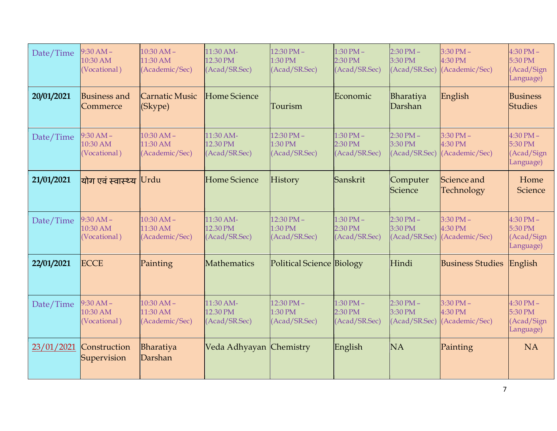| Date/Time  | $9:30 AM -$<br>10:30 AM<br>(Vocational) | $10:30 AM -$<br>11:30 AM<br>(Academic/Sec) | 11:30 AM-<br>12.30 PM<br>(Acad/SR.Sec) | $12:30$ PM $-$<br>1:30 PM<br>(Acad/SR.Sec)       | $1:30$ PM $-$<br>2:30 PM<br>(Acad/SR.Sec) | $2:30$ PM $-$<br>3:30 PM<br>(Acad/SR.Sec) | $3:30$ PM $-$<br>4:30 PM<br>(Academic/Sec) | $4:30$ PM $-$<br>5:30 PM<br>(Acad/Sign<br>Language) |
|------------|-----------------------------------------|--------------------------------------------|----------------------------------------|--------------------------------------------------|-------------------------------------------|-------------------------------------------|--------------------------------------------|-----------------------------------------------------|
| 20/01/2021 | <b>Business and</b><br>Commerce         | <b>Carnatic Music</b><br>(Skype)           | <b>Home Science</b>                    | Tourism                                          | Economic                                  | Bharatiya<br>Darshan                      | English                                    | <b>Business</b><br><b>Studies</b>                   |
| Date/Time  | $9:30 AM -$<br>10:30 AM<br>(Vocational) | $10:30 AM -$<br>11:30 AM<br>(Academic/Sec) | 11:30 AM-<br>12.30 PM<br>(Acad/SR.Sec) | $12:30 \text{ PM} -$<br>1:30 PM<br>(Acad/SR.Sec) | $1:30$ PM $-$<br>2:30 PM<br>(Acad/SR.Sec) | $2:30$ PM $-$<br>3:30 PM<br>(Acad/SR.Sec) | $3:30$ PM $-$<br>4:30 PM<br>(Academic/Sec) | $4:30$ PM $-$<br>5:30 PM<br>(Acad/Sign<br>Language) |
| 21/01/2021 | योग एवं स्वास्थ्य                       | Urdu                                       | <b>Home Science</b>                    | <b>History</b>                                   | Sanskrit                                  | Computer<br>Science                       | Science and<br>Technology                  | Home<br>Science                                     |
| Date/Time  | $9:30 AM -$<br>10:30 AM<br>(Vocational) | $10:30 AM -$<br>11:30 AM<br>(Academic/Sec) | 11:30 AM-<br>12.30 PM<br>(Acad/SR.Sec) | $12:30$ PM $-$<br>1:30 PM<br>(Acad/SR.Sec)       | $1:30$ PM $-$<br>2:30 PM<br>(Acad/SR.Sec) | $2:30$ PM $-$<br>3:30 PM<br>(Acad/SR.Sec) | $3:30$ PM $-$<br>4:30 PM<br>(Academic/Sec) | $4:30$ PM $-$<br>5:30 PM<br>(Acad/Sign<br>Language) |
| 22/01/2021 | <b>ECCE</b>                             | Painting                                   | Mathematics                            | Political Science Biology                        |                                           | Hindi                                     | <b>Business Studies</b>                    | English                                             |
| Date/Time  | $9:30 AM -$<br>10:30 AM<br>(Vocational) | $10:30 AM -$<br>11:30 AM<br>(Academic/Sec) | 11:30 AM-<br>12.30 PM<br>(Acad/SR.Sec) | $12:30$ PM $-$<br>1:30 PM<br>(Acad/SR.Sec)       | $1:30$ PM $-$<br>2:30 PM<br>(Acad/SR.Sec) | $2:30$ PM $-$<br>3:30 PM<br>(Acad/SR.Sec) | $3:30$ PM $-$<br>4:30 PM<br>(Academic/Sec) | $4:30$ PM $-$<br>5:30 PM<br>(Acad/Sign<br>Language) |
| 23/01/2021 | Construction<br>Supervision             | Bharatiya<br>Darshan                       | Veda Adhyayan Chemistry                |                                                  | English                                   | <b>NA</b>                                 | Painting                                   | <b>NA</b>                                           |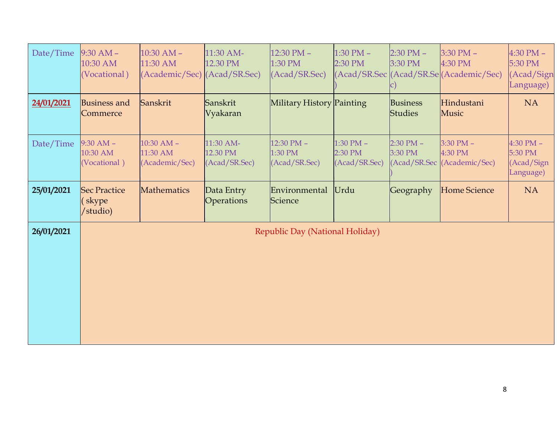| Date/Time  | $9:30 AM -$<br>10:30 AM<br>(Vocational)   | $10:30$ AM $-$<br>11:30 AM<br>(Academic/Sec) (Acad/SR.Sec) | 11:30 AM-<br>12.30 PM                  | 12:30 PM -<br>1:30 PM<br>(Acad/SR.Sec) | $1:30$ PM $-$<br>2:30 PM                  | $2:30$ PM $-$<br>3:30 PM          | $3:30$ PM $-$<br>4:30 PM<br>(Acad/SR.Sec (Acad/SR.Se (Academic/Sec) | $4:30$ PM $-$<br>5:30 PM<br>(Acad/Sign<br>Language) |
|------------|-------------------------------------------|------------------------------------------------------------|----------------------------------------|----------------------------------------|-------------------------------------------|-----------------------------------|---------------------------------------------------------------------|-----------------------------------------------------|
| 24/01/2021 | <b>Business and</b><br>Commerce           | Sanskrit                                                   | Sanskrit<br>Vyakaran                   | Military History Painting              |                                           | <b>Business</b><br><b>Studies</b> | Hindustani<br>Music                                                 | <b>NA</b>                                           |
| Date/Time  | $9:30$ AM $-$<br>10:30 AM<br>(Vocational) | $10:30$ AM $-$<br>11:30 AM<br>(Academic/Sec)               | 11:30 AM-<br>12.30 PM<br>(Acad/SR.Sec) | 12:30 PM -<br>1:30 PM<br>(Acad/SR.Sec) | $1:30$ PM $-$<br>2:30 PM<br>(Acad/SR.Sec) | $2:30$ PM $-$<br>3:30 PM          | $3:30$ PM $-$<br>4:30 PM<br>(Acad/SR.Sec (Academic/Sec)             | $4:30$ PM $-$<br>5:30 PM<br>(Acad/Sign<br>Language) |
| 25/01/2021 | <b>Sec Practice</b><br>skype<br>/studio)  | Mathematics                                                | Data Entry<br>Operations               | Environmental<br>Science               | Urdu                                      | Geography                         | Home Science                                                        | <b>NA</b>                                           |
| 26/01/2021 |                                           |                                                            |                                        | Republic Day (National Holiday)        |                                           |                                   |                                                                     |                                                     |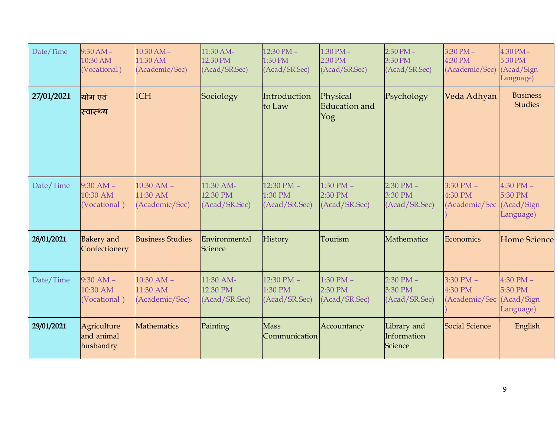| Date/Time  | $9:30 AM -$<br>10:30 AM<br>(Vocational)   | $10:30 AM -$<br>11:30 AM<br>(Academic/Sec)   | 11:30 AM-<br>12.30 PM<br>(Acad/SR.Sec) | $12:30$ PM $-$<br>1:30 PM<br>(Acad/SR.Sec)       | $1:30$ PM $-$<br>2:30 PM<br>(Acad/SR.Sec) | $2:30$ PM $-$<br>3:30 PM<br>(Acad/SR.Sec) | $3:30$ PM $-$<br>4:30 PM<br>(Academic/Sec)           | $4:30$ PM $-$<br>5:30 PM<br>(Acad/Sign<br>Language) |
|------------|-------------------------------------------|----------------------------------------------|----------------------------------------|--------------------------------------------------|-------------------------------------------|-------------------------------------------|------------------------------------------------------|-----------------------------------------------------|
| 27/01/2021 | योग एवं<br>स्वास्थ्य                      | <b>ICH</b>                                   | Sociology                              | Introduction<br>to Law                           | Physical<br>Education and<br>Yog          | Psychology                                | Veda Adhyan                                          | <b>Business</b><br><b>Studies</b>                   |
| Date/Time  | $9:30$ AM $-$<br>10:30 AM<br>(Vocational) | $10:30$ AM $-$<br>11:30 AM<br>(Academic/Sec) | 11:30 AM-<br>12.30 PM<br>(Acad/SR.Sec) | $12:30$ PM $-$<br>1:30 PM<br>(Acad/SR.Sec)       | $1:30$ PM $-$<br>2:30 PM<br>(Acad/SR.Sec) | $2:30$ PM $-$<br>3:30 PM<br>(Acad/SR.Sec) | $3:30$ PM $-$<br>4:30 PM<br>(Academic/Sec            | $4:30$ PM $-$<br>5:30 PM<br>(Acad/Sign<br>Language) |
| 28/01/2021 | <b>Bakery</b> and<br>Confectionery        | <b>Business Studies</b>                      | Environmental<br><b>Science</b>        | History                                          | Tourism                                   | Mathematics                               | Economics                                            | <b>Home Science</b>                                 |
| Date/Time  | $9:30$ AM $-$<br>10:30 AM<br>(Vocational) | $10:30$ AM $-$<br>11:30 AM<br>(Academic/Sec) | 11:30 AM-<br>12.30 PM<br>(Acad/SR.Sec) | $12:30 \text{ PM} -$<br>1:30 PM<br>(Acad/SR.Sec) | $1:30$ PM $-$<br>2:30 PM<br>(Acad/SR.Sec) | $2:30$ PM $-$<br>3:30 PM<br>(Acad/SR.Sec) | $3:30$ PM $-$<br>4:30 PM<br>(Academic/Sec (Acad/Sign | $4:30$ PM $-$<br>5:30 PM<br>Language)               |
| 29/01/2021 | Agriculture<br>and animal<br>husbandry    | <b>Mathematics</b>                           | Painting                               | <b>Mass</b><br>Communication                     | Accountancy                               | Library and<br>Information<br>Science     | Social Science                                       | English                                             |